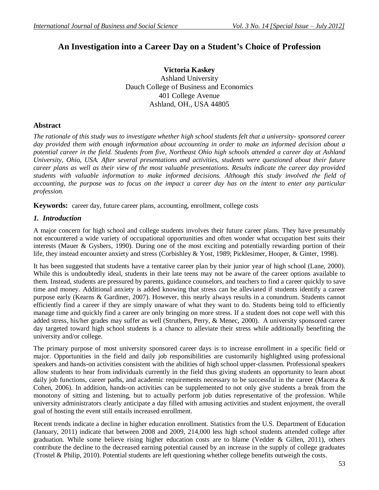# **An Investigation into a Career Day on a Student's Choice of Profession**

**Victoria Kaskey** Ashland University Dauch College of Business and Economics 401 College Avenue Ashland, OH., USA 44805

# **Abstract**

*The rationale of this study was to investigate whether high school students felt that a university- sponsored career day provided them with enough information about accounting in order to make an informed decision about a potential career in the field. Students from five, Northeast Ohio high schools attended a career day at Ashland University, Ohio, USA. After several presentations and activities, students were questioned about their future career plans as well as their view of the most valuable presentations. Results indicate the career day provided students with valuable information to make informed decisions. Although this study involved the field of accounting, the purpose was to focus on the impact a career day has on the intent to enter any particular profession.* 

**Keywords:** career day, future career plans, accounting, enrollment, college costs

## *1. Introduction*

A major concern for high school and college students involves their future career plans. They have presumably not encountered a wide variety of occupational opportunities and often wonder what occupation best suits their interests (Mauer & Gysbers, 1990). During one of the most exciting and potentially rewarding portion of their life, they instead encounter anxiety and stress (Corbishley & Yost, 1989; Picklesimer, Hooper, & Ginter, 1998).

It has been suggested that students have a tentative career plan by their junior year of high school (Lane, 2000). While this is undoubtedly ideal, students in their late teens may not be aware of the career options available to them. Instead, students are pressured by parents, guidance counselors, and teachers to find a career quickly to save time and money. Additional anxiety is added knowing that stress can be alleviated if students identify a career purpose early (Kearns & Gardiner, 2007). However, this nearly always results in a conundrum. Students cannot efficiently find a career if they are simply unaware of what they want to do. Students being told to efficiently manage time and quickly find a career are only bringing on more stress. If a student does not cope well with this added stress, his/her grades may suffer as well (Struthers, Perry, & Menec, 2000). A university sponsored career day targeted toward high school students is a chance to alleviate their stress while additionally benefiting the university and/or college.

The primary purpose of most university sponsored career days is to increase enrollment in a specific field or major. Opportunities in the field and daily job responsibilities are customarily highlighted using professional speakers and hands-on activities consistent with the abilities of high school upper-classmen. Professional speakers allow students to hear from individuals currently in the field thus giving students an opportunity to learn about daily job functions, career paths, and academic requirements necessary to be successful in the career (Macera & Cohen, 2006). In addition, hands-on activities can be supplemented to not only give students a break from the monotony of sitting and listening, but to actually perform job duties representative of the profession. While university administrators clearly anticipate a day filled with amusing activities and student enjoyment, the overall goal of hosting the event still entails increased enrollment.

Recent trends indicate a decline in higher education enrollment. Statistics from the U.S. Department of Education (January, 2011) indicate that between 2008 and 2009, 214,000 less high school students attended college after graduation. While some believe rising higher education costs are to blame (Vedder & Gillen, 2011), others contribute the decline to the decreased earning potential caused by an increase in the supply of college graduates (Trostel & Philip, 2010). Potential students are left questioning whether college benefits outweigh the costs.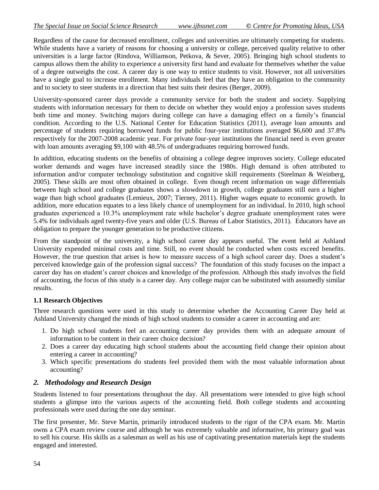Regardless of the cause for decreased enrollment, colleges and universities are ultimately competing for students. While students have a variety of reasons for choosing a university or college, perceived quality relative to other universities is a large factor (Rindova, Williamson, Petkova, & Sever, 2005). Bringing high school students to campus allows them the ability to experience a university first hand and evaluate for themselves whether the value of a degree outweighs the cost. A career day is one way to entice students to visit. However, not all universities have a single goal to increase enrollment. Many individuals feel that they have an obligation to the community and to society to steer students in a direction that best suits their desires (Berger, 2009).

University-sponsored career days provide a community service for both the student and society. Supplying students with information necessary for them to decide on whether they would enjoy a profession saves students both time and money. Switching majors during college can have a damaging effect on a family's financial condition. According to the U.S. National Center for Education Statistics (2011), average loan amounts and percentage of students requiring borrowed funds for public four-year institutions averaged \$6,600 and 37.8% respectively for the 2007-2008 academic year. For private four-year institutions the financial need is even greater with loan amounts averaging \$9,100 with 48.5% of undergraduates requiring borrowed funds.

In addition, educating students on the benefits of obtaining a college degree improves society. College educated worker demands and wages have increased steadily since the 1980s. High demand is often attributed to information and/or computer technology substitution and cognitive skill requirements (Steelman & Weinberg, 2005). These skills are most often obtained in college. Even though recent information on wage differentials between high school and college graduates shows a slowdown in growth, college graduates still earn a higher wage than high school graduates (Lemieux, 2007; Tierney, 2011). Higher wages equate to economic growth. In addition, more education equates to a less likely chance of unemployment for an individual. In 2010, high school graduates experienced a 10.3% unemployment rate while bachelor's degree graduate unemployment rates were 5.4% for individuals aged twenty-five years and older (U.S. Bureau of Labor Statistics, 2011). Educators have an obligation to prepare the younger generation to be productive citizens.

From the standpoint of the university, a high school career day appears useful. The event held at Ashland University expended minimal costs and time. Still, no event should be conducted when costs exceed benefits. However, the true question that arises is how to measure success of a high school career day. Does a student's perceived knowledge gain of the profession signal success? The foundation of this study focuses on the impact a career day has on student's career choices and knowledge of the profession. Although this study involves the field of accounting, the focus of this study is a career day. Any college major can be substituted with assumedly similar results.

#### **1.1 Research Objectives**

Three research questions were used in this study to determine whether the Accounting Career Day held at Ashland University changed the minds of high school students to consider a career in accounting and are:

- 1. Do high school students feel an accounting career day provides them with an adequate amount of information to be content in their career choice decision?
- 2. Does a career day educating high school students about the accounting field change their opinion about entering a career in accounting?
- 3. Which specific presentations do students feel provided them with the most valuable information about accounting?

#### *2. Methodology and Research Design*

Students listened to four presentations throughout the day. All presentations were intended to give high school students a glimpse into the various aspects of the accounting field. Both college students and accounting professionals were used during the one day seminar.

The first presenter, Mr. Steve Martin, primarily introduced students to the rigor of the CPA exam. Mr. Martin owns a CPA exam review course and although he was extremely valuable and informative, his primary goal was to sell his course. His skills as a salesman as well as his use of captivating presentation materials kept the students engaged and interested.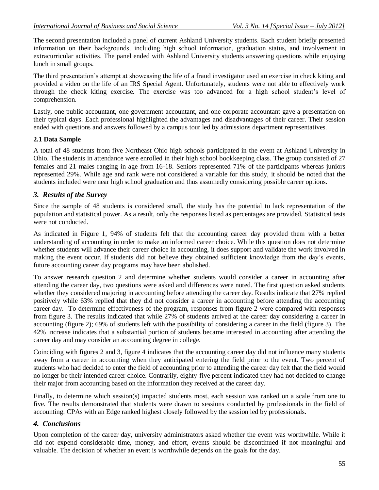The second presentation included a panel of current Ashland University students. Each student briefly presented information on their backgrounds, including high school information, graduation status, and involvement in extracurricular activities. The panel ended with Ashland University students answering questions while enjoying lunch in small groups.

The third presentation's attempt at showcasing the life of a fraud investigator used an exercise in check kiting and provided a video on the life of an IRS Special Agent. Unfortunately, students were not able to effectively work through the check kiting exercise. The exercise was too advanced for a high school student's level of comprehension.

Lastly, one public accountant, one government accountant, and one corporate accountant gave a presentation on their typical days. Each professional highlighted the advantages and disadvantages of their career. Their session ended with questions and answers followed by a campus tour led by admissions department representatives.

#### **2.1 Data Sample**

A total of 48 students from five Northeast Ohio high schools participated in the event at Ashland University in Ohio. The students in attendance were enrolled in their high school bookkeeping class. The group consisted of 27 females and 21 males ranging in age from 16-18. Seniors represented 71% of the participants whereas juniors represented 29%. While age and rank were not considered a variable for this study, it should be noted that the students included were near high school graduation and thus assumedly considering possible career options.

#### *3. Results of the Survey*

Since the sample of 48 students is considered small, the study has the potential to lack representation of the population and statistical power. As a result, only the responses listed as percentages are provided. Statistical tests were not conducted.

As indicated in Figure 1, 94% of students felt that the accounting career day provided them with a better understanding of accounting in order to make an informed career choice. While this question does not determine whether students will advance their career choice in accounting, it does support and validate the work involved in making the event occur. If students did not believe they obtained sufficient knowledge from the day's events, future accounting career day programs may have been abolished.

To answer research question 2 and determine whether students would consider a career in accounting after attending the career day, two questions were asked and differences were noted. The first question asked students whether they considered majoring in accounting before attending the career day. Results indicate that 27% replied positively while 63% replied that they did not consider a career in accounting before attending the accounting career day. To determine effectiveness of the program, responses from figure 2 were compared with responses from figure 3. The results indicated that while 27% of students arrived at the career day considering a career in accounting (figure 2); 69% of students left with the possibility of considering a career in the field (figure 3). The 42% increase indicates that a substantial portion of students became interested in accounting after attending the career day and may consider an accounting degree in college.

Coinciding with figures 2 and 3, figure 4 indicates that the accounting career day did not influence many students away from a career in accounting when they anticipated entering the field prior to the event. Two percent of students who had decided to enter the field of accounting prior to attending the career day felt that the field would no longer be their intended career choice. Contrarily, eighty-five percent indicated they had not decided to change their major from accounting based on the information they received at the career day.

Finally, to determine which session(s) impacted students most, each session was ranked on a scale from one to five. The results demonstrated that students were drawn to sessions conducted by professionals in the field of accounting. CPAs with an Edge ranked highest closely followed by the session led by professionals.

#### *4. Conclusions*

Upon completion of the career day, university administrators asked whether the event was worthwhile. While it did not expend considerable time, money, and effort, events should be discontinued if not meaningful and valuable. The decision of whether an event is worthwhile depends on the goals for the day.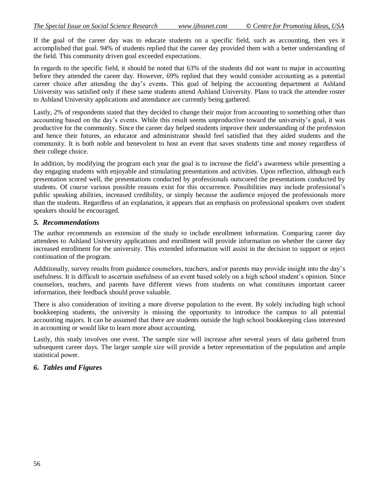If the goal of the career day was to educate students on a specific field, such as accounting, then yes it accomplished that goal. 94% of students replied that the career day provided them with a better understanding of the field. This community driven goal exceeded expectations.

In regards to the specific field, it should be noted that 63% of the students did not want to major in accounting before they attended the career day. However, 69% replied that they would consider accounting as a potential career choice after attending the day's events. This goal of helping the accounting department at Ashland University was satisfied only if these same students attend Ashland University. Plans to track the attendee roster to Ashland University applications and attendance are currently being gathered.

Lastly, 2% of respondents stated that they decided to change their major from accounting to something other than accounting based on the day's events. While this result seems unproductive toward the university's goal, it was productive for the community. Since the career day helped students improve their understanding of the profession and hence their futures, an educator and administrator should feel satisfied that they aided students and the community. It is both noble and benevolent to host an event that saves students time and money regardless of their college choice.

In addition, by modifying the program each year the goal is to increase the field's awareness while presenting a day engaging students with enjoyable and stimulating presentations and activities. Upon reflection, although each presentation scored well, the presentations conducted by professionals outscored the presentations conducted by students. Of course various possible reasons exist for this occurrence. Possibilities may include professional's public speaking abilities, increased credibility, or simply because the audience enjoyed the professionals more than the students. Regardless of an explanation, it appears that an emphasis on professional speakers over student speakers should be encouraged.

#### *5. Recommendations*

The author recommends an extension of the study to include enrollment information. Comparing career day attendees to Ashland University applications and enrollment will provide information on whether the career day increased enrollment for the university. This extended information will assist in the decision to support or reject continuation of the program.

Additionally, survey results from guidance counselors, teachers, and/or parents may provide insight into the day's usefulness. It is difficult to ascertain usefulness of an event based solely on a high school student's opinion. Since counselors, teachers, and parents have different views from students on what constitutes important career information, their feedback should prove valuable.

There is also consideration of inviting a more diverse population to the event. By solely including high school bookkeeping students, the university is missing the opportunity to introduce the campus to all potential accounting majors. It can be assumed that there are students outside the high school bookkeeping class interested in accounting or would like to learn more about accounting.

Lastly, this study involves one event. The sample size will increase after several years of data gathered from subsequent career days. The larger sample size will provide a better representation of the population and ample statistical power.

#### *6. Tables and Figures*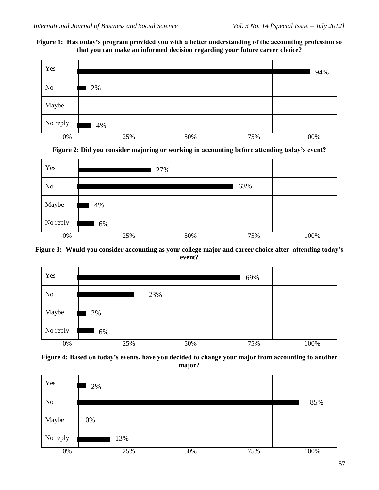### **Figure 1: Has today's program provided you with a better understanding of the accounting profession so that you can make an informed decision regarding your future career choice?**







#### **Figure 3: Would you consider accounting as your college major and career choice after attending today's event?**

| Yes            |     |     | 69% |      |
|----------------|-----|-----|-----|------|
| N <sub>o</sub> |     | 23% |     |      |
| Maybe          | 2%  |     |     |      |
| No reply       | 6%  |     |     |      |
| 0%             | 25% | 50% | 75% | 100% |

### **Figure 4: Based on today's events, have you decided to change your major from accounting to another major?**

| Yes            | 2%  |     |     |      |
|----------------|-----|-----|-----|------|
| N <sub>0</sub> |     |     |     | 85%  |
| Maybe          | 0%  |     |     |      |
| No reply       | 13% |     |     |      |
| $0\%$          | 25% | 50% | 75% | 100% |